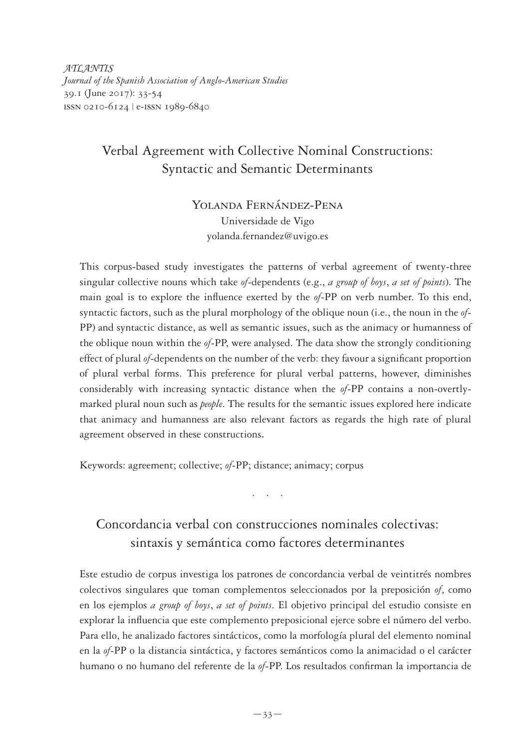*ATLANTIS Journal of the Spanish Association of Anglo-American Studies* 39.1 (June 2017): 33-54 issn 0210-6124 | e-issn 1989-6840

# Verbal Agreement with Collective Nominal Constructions: Syntactic and Semantic Determinants

Yolanda Fernández-Pena Universidade de Vigo yolanda.fernandez@uvigo.es

This corpus-based study investigates the patterns of verbal agreement of twenty-three singular collective nouns which take *of*-dependents (e.g., *a group of boys*, *a set of points*). The main goal is to explore the influence exerted by the *of*-PP on verb number. To this end, syntactic factors, such as the plural morphology of the oblique noun (i.e., the noun in the *of*-PP) and syntactic distance, as well as semantic issues, such as the animacy or humanness of the oblique noun within the *of*-PP, were analysed. The data show the strongly conditioning effect of plural *of*-dependents on the number of the verb: they favour a significant proportion of plural verbal forms. This preference for plural verbal patterns, however, diminishes considerably with increasing syntactic distance when the *of*-PP contains a non-overtlymarked plural noun such as *people*. The results for the semantic issues explored here indicate that animacy and humanness are also relevant factors as regards the high rate of plural agreement observed in these constructions.

Keywords: agreement; collective; *of*-PP; distance; animacy; corpus

# Concordancia verbal con construcciones nominales colectivas: sintaxis y semántica como factores determinantes

. . . .

Este estudio de corpus investiga los patrones de concordancia verbal de veintitrés nombres colectivos singulares que toman complementos seleccionados por la preposición *of*, como en los ejemplos *a group of boys*, *a set of points*. El objetivo principal del estudio consiste en explorar la influencia que este complemento preposicional ejerce sobre el número del verbo. Para ello, he analizado factores sintácticos, como la morfología plural del elemento nominal en la *of*-PP o la distancia sintáctica, y factores semánticos como la animacidad o el carácter humano o no humano del referente de la *of*-PP. Los resultados confirman la importancia de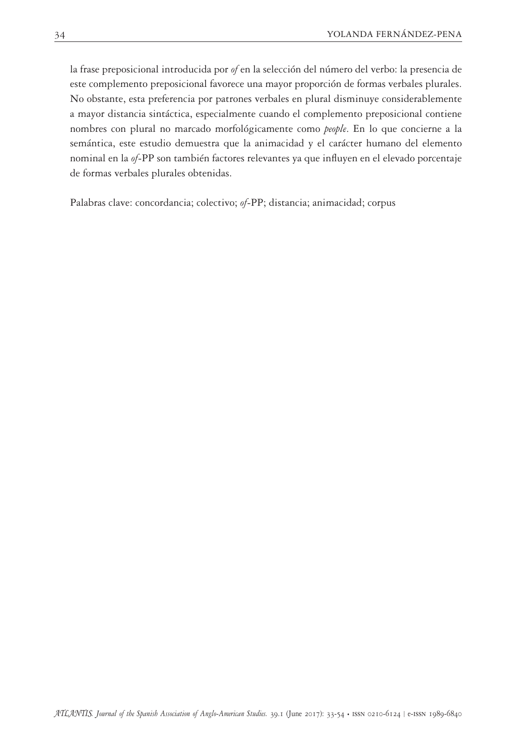la frase preposicional introducida por *of* en la selección del número del verbo: la presencia de este complemento preposicional favorece una mayor proporción de formas verbales plurales. No obstante, esta preferencia por patrones verbales en plural disminuye considerablemente a mayor distancia sintáctica, especialmente cuando el complemento preposicional contiene nombres con plural no marcado morfológicamente como *people*. En lo que concierne a la semántica, este estudio demuestra que la animacidad y el carácter humano del elemento nominal en la *of*-PP son también factores relevantes ya que influyen en el elevado porcentaje de formas verbales plurales obtenidas.

Palabras clave: concordancia; colectivo; *of*-PP; distancia; animacidad; corpus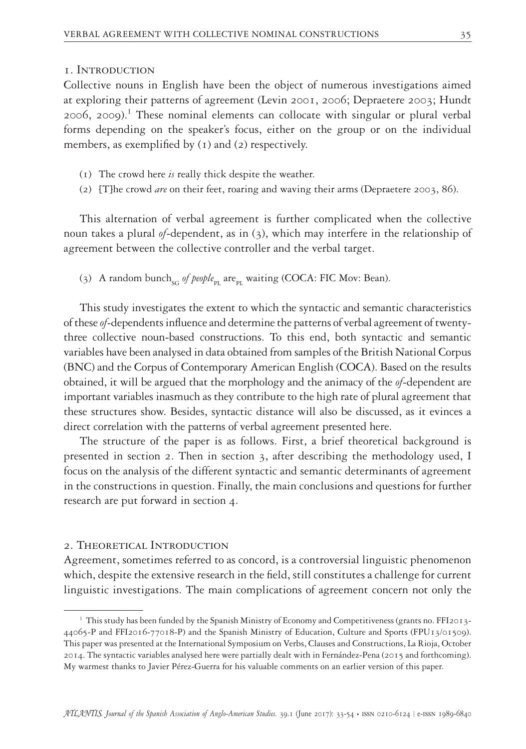#### 1. Introduction

Collective nouns in English have been the object of numerous investigations aimed at exploring their patterns of agreement (Levin 2001, 2006; Depraetere 2003; Hundt  $2006$ ,  $2009$ ).<sup>1</sup> These nominal elements can collocate with singular or plural verbal forms depending on the speaker's focus, either on the group or on the individual members, as exemplified by (1) and (2) respectively.

- (1) The crowd here *is* really thick despite the weather.
- (2) [T]he crowd *are* on their feet, roaring and waving their arms (Depraetere 2003, 86).

This alternation of verbal agreement is further complicated when the collective noun takes a plural *of*-dependent, as in (3), which may interfere in the relationship of agreement between the collective controller and the verbal target.

(3) A random bunch<sub>sG</sub> of people<sub>pr</sub> are<sub>pr</sub> waiting (COCA: FIC Mov: Bean).

This study investigates the extent to which the syntactic and semantic characteristics of these *of*-dependents influence and determine the patterns of verbal agreement of twentythree collective noun-based constructions. To this end, both syntactic and semantic variables have been analysed in data obtained from samples of the British National Corpus (BNC) and the Corpus of Contemporary American English (COCA). Based on the results obtained, it will be argued that the morphology and the animacy of the *of*-dependent are important variables inasmuch as they contribute to the high rate of plural agreement that these structures show. Besides, syntactic distance will also be discussed, as it evinces a direct correlation with the patterns of verbal agreement presented here.

The structure of the paper is as follows. First, a brief theoretical background is presented in section 2. Then in section 3, after describing the methodology used, I focus on the analysis of the different syntactic and semantic determinants of agreement in the constructions in question. Finally, the main conclusions and questions for further research are put forward in section 4.

## 2. Theoretical Introduction

Agreement, sometimes referred to as concord, is a controversial linguistic phenomenon which, despite the extensive research in the field, still constitutes a challenge for current linguistic investigations. The main complications of agreement concern not only the

<sup>&</sup>lt;sup>1</sup> This study has been funded by the Spanish Ministry of Economy and Competitiveness (grants no. FFI2013-44065-P and FFI2016-77018-P) and the Spanish Ministry of Education, Culture and Sports (FPU13/01509). This paper was presented at the International Symposium on Verbs, Clauses and Constructions, La Rioja, October 2014. The syntactic variables analysed here were partially dealt with in Fernández-Pena (2015 and forthcoming). My warmest thanks to Javier Pérez-Guerra for his valuable comments on an earlier version of this paper.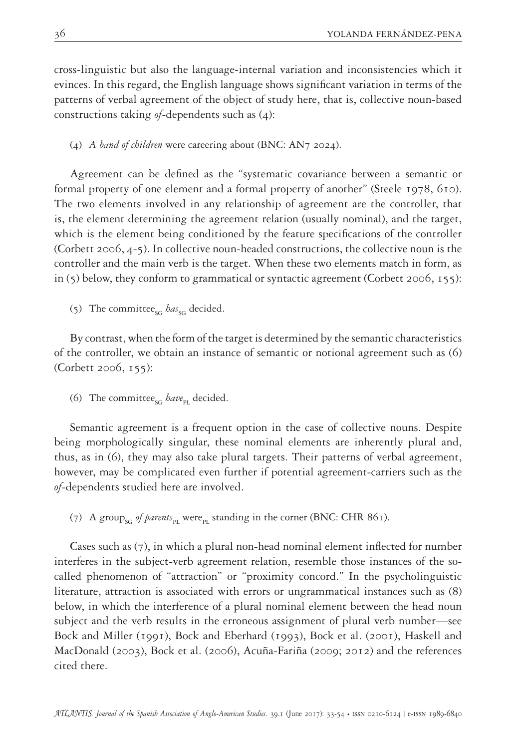cross-linguistic but also the language-internal variation and inconsistencies which it evinces. In this regard, the English language shows significant variation in terms of the patterns of verbal agreement of the object of study here, that is, collective noun-based constructions taking *of*-dependents such as (4):

(4) *A band of children* were careering about (BNC: AN7 2024).

Agreement can be defined as the "systematic covariance between a semantic or formal property of one element and a formal property of another" (Steele 1978, 610). The two elements involved in any relationship of agreement are the controller, that is, the element determining the agreement relation (usually nominal), and the target, which is the element being conditioned by the feature specifications of the controller (Corbett 2006, 4-5). In collective noun-headed constructions, the collective noun is the controller and the main verb is the target. When these two elements match in form, as in  $(5)$  below, they conform to grammatical or syntactic agreement (Corbett 2006, 155):

(5) The committee<sub>sG</sub> has<sub>sG</sub> decided.

By contrast, when the form of the target is determined by the semantic characteristics of the controller, we obtain an instance of semantic or notional agreement such as (6) (Corbett 2006, 155):

(6) The committee<sub>sG</sub> have<sub>PL</sub> decided.

Semantic agreement is a frequent option in the case of collective nouns. Despite being morphologically singular, these nominal elements are inherently plural and, thus, as in (6), they may also take plural targets. Their patterns of verbal agreement, however, may be complicated even further if potential agreement-carriers such as the *of*-dependents studied here are involved.

(7) A group<sub>sG</sub> of parents<sub>pl</sub> were<sub>pl</sub> standing in the corner (BNC: CHR 861).

Cases such as (7), in which a plural non-head nominal element inflected for number interferes in the subject-verb agreement relation, resemble those instances of the socalled phenomenon of "attraction" or "proximity concord." In the psycholinguistic literature, attraction is associated with errors or ungrammatical instances such as (8) below, in which the interference of a plural nominal element between the head noun subject and the verb results in the erroneous assignment of plural verb number—see Bock and Miller (1991), Bock and Eberhard (1993), Bock et al. (2001), Haskell and MacDonald (2003), Bock et al. (2006), Acuña-Fariña (2009; 2012) and the references cited there.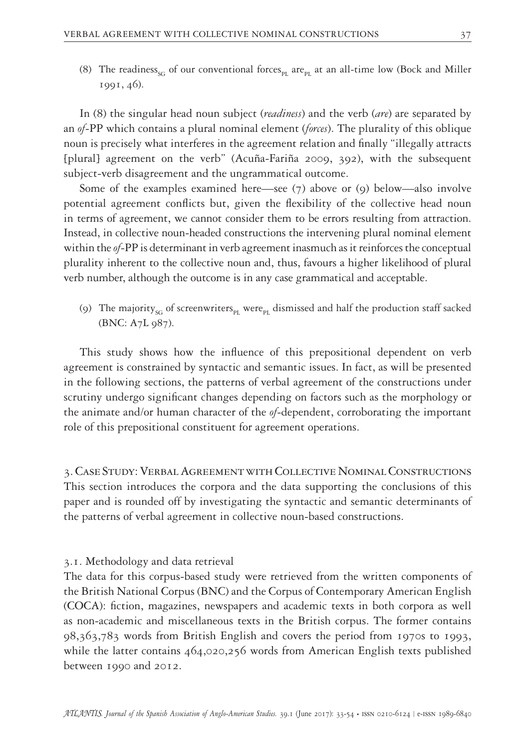(8) The readiness<sub>SG</sub> of our conventional forces<sub>PL</sub> are<sub>PL</sub> at an all-time low (Bock and Miller 1991, 46).

In (8) the singular head noun subject (*readiness*) and the verb (*are*) are separated by an *of*-PP which contains a plural nominal element (*forces*). The plurality of this oblique noun is precisely what interferes in the agreement relation and finally "illegally attracts [plural] agreement on the verb" (Acuña-Fariña 2009, 392), with the subsequent subject-verb disagreement and the ungrammatical outcome.

Some of the examples examined here—see (7) above or (9) below—also involve potential agreement conflicts but, given the flexibility of the collective head noun in terms of agreement, we cannot consider them to be errors resulting from attraction. Instead, in collective noun-headed constructions the intervening plural nominal element within the *of*-PP is determinant in verb agreement inasmuch as it reinforces the conceptual plurality inherent to the collective noun and, thus, favours a higher likelihood of plural verb number, although the outcome is in any case grammatical and acceptable.

(9) The majority<sub>SG</sub> of screenwriters<sub>PI</sub> were<sub>PI</sub> dismissed and half the production staff sacked (BNC: A7L 987).

This study shows how the influence of this prepositional dependent on verb agreement is constrained by syntactic and semantic issues. In fact, as will be presented in the following sections, the patterns of verbal agreement of the constructions under scrutiny undergo significant changes depending on factors such as the morphology or the animate and/or human character of the *of*-dependent, corroborating the important role of this prepositional constituent for agreement operations.

3. Case Study: Verbal Agreement with Collective Nominal Constructions This section introduces the corpora and the data supporting the conclusions of this paper and is rounded off by investigating the syntactic and semantic determinants of the patterns of verbal agreement in collective noun-based constructions.

3.1. Methodology and data retrieval

The data for this corpus-based study were retrieved from the written components of the British National Corpus (BNC) and the Corpus of Contemporary American English (COCA): fiction, magazines, newspapers and academic texts in both corpora as well as non-academic and miscellaneous texts in the British corpus. The former contains 98,363,783 words from British English and covers the period from 1970s to 1993, while the latter contains 464,020,256 words from American English texts published between 1990 and 2012.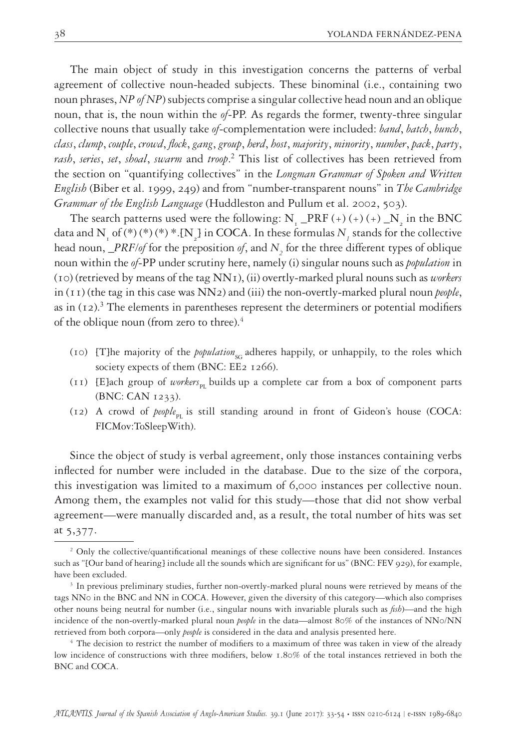The main object of study in this investigation concerns the patterns of verbal agreement of collective noun-headed subjects. These binominal (i.e., containing two noun phrases, *NP of NP*) subjects comprise a singular collective head noun and an oblique noun, that is, the noun within the *of*-PP. As regards the former, twenty-three singular collective nouns that usually take *of*-complementation were included: *band*, *batch*, *bunch*, *class*, *clump*, *couple*, *crowd*, *flock*, *gang*, *group*, *herd*, *host*, *majority*, *minority*, *number*, *pack*, *party*, *rash*, *series*, *set*, *shoal*, *swarm* and *troop*. 2 This list of collectives has been retrieved from the section on "quantifying collectives" in the *Longman Grammar of Spoken and Written English* (Biber et al. 1999, 249) and from "number-transparent nouns" in *The Cambridge Grammar of the English Language* (Huddleston and Pullum et al. 2002, 503).

The search patterns used were the following: N<sub>1</sub> \_PRF (+) (+) (+) \_N<sub>2</sub> in the BNC data and N<sub>1</sub> of (\*) (\*) \* .{N<sub>2</sub>] in COCA. In these formulas  $N_{1}$  stands for the collective head noun, *\_PRF/of* for the preposition *of*, and *N2* for the three different types of oblique noun within the *of*-PP under scrutiny here, namely (i) singular nouns such as *population* in (10) (retrieved by means of the tag NN1), (ii) overtly-marked plural nouns such as *workers* in (11) (the tag in this case was NN2) and (iii) the non-overtly-marked plural noun *people*, as in  $(12)^3$  The elements in parentheses represent the determiners or potential modifiers of the oblique noun (from zero to three).<sup>4</sup>

- (10) [T]he majority of the *population*<sub>sc</sub> adheres happily, or unhappily, to the roles which society expects of them (BNC: EE2 1266).
- (11) [E]ach group of *workers*<sub>PL</sub> builds up a complete car from a box of component parts (BNC: CAN 1233).
- (12) A crowd of  $people_{\text{or}}$  is still standing around in front of Gideon's house (COCA: FICMov:ToSleepWith).

Since the object of study is verbal agreement, only those instances containing verbs inflected for number were included in the database. Due to the size of the corpora, this investigation was limited to a maximum of 6,000 instances per collective noun. Among them, the examples not valid for this study—those that did not show verbal agreement—were manually discarded and, as a result, the total number of hits was set at 5,377.

<sup>&</sup>lt;sup>2</sup> Only the collective/quantificational meanings of these collective nouns have been considered. Instances such as "[Our band of hearing] include all the sounds which are significant for us" (BNC: FEV 929), for example, have been excluded.

<sup>&</sup>lt;sup>3</sup> In previous preliminary studies, further non-overtly-marked plural nouns were retrieved by means of the tags NN0 in the BNC and NN in COCA. However, given the diversity of this category—which also comprises other nouns being neutral for number (i.e., singular nouns with invariable plurals such as *fish*)—and the high incidence of the non-overtly-marked plural noun *people* in the data—almost 80% of the instances of NN0/NN retrieved from both corpora—only *people* is considered in the data and analysis presented here.

<sup>&</sup>lt;sup>4</sup> The decision to restrict the number of modifiers to a maximum of three was taken in view of the already low incidence of constructions with three modifiers, below 1.80% of the total instances retrieved in both the BNC and COCA.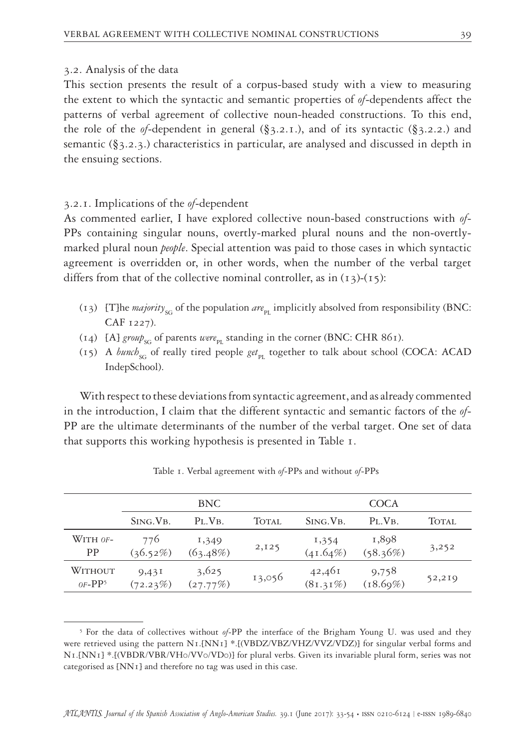#### 3.2. Analysis of the data

This section presents the result of a corpus-based study with a view to measuring the extent to which the syntactic and semantic properties of *of*-dependents affect the patterns of verbal agreement of collective noun-headed constructions. To this end, the role of the *of*-dependent in general  $(\S_3, 2.1.)$ , and of its syntactic  $(\S_3, 2.2.)$  and semantic (§3.2.3.) characteristics in particular, are analysed and discussed in depth in the ensuing sections.

#### 3.2.1. Implications of the *of*-dependent

As commented earlier, I have explored collective noun-based constructions with *of*-PPs containing singular nouns, overtly-marked plural nouns and the non-overtlymarked plural noun *people*. Special attention was paid to those cases in which syntactic agreement is overridden or, in other words, when the number of the verbal target differs from that of the collective nominal controller, as in  $(13)-(15)$ :

- $(13)$  [T]he *majority<sub>sc</sub>* of the population *are*<sub>pl</sub> implicitly absolved from responsibility (BNC: CAF 1227).
- $(14)$  [A] *group*<sub>sG</sub> of parents *were*<sub>pr</sub> standing in the corner (BNC: CHR 861).
- (15) A *bunch*<sub>sG</sub> of really tired people *get*<sub>PL</sub> together to talk about school (COCA: ACAD IndepSchool).

With respect to these deviations from syntactic agreement, and as already commented in the introduction, I claim that the different syntactic and semantic factors of the *of*-PP are the ultimate determinants of the number of the verbal target. One set of data that supports this working hypothesis is presented in Table 1.

|                     | <b>BNC</b>         |                   |              | COCA                 |                   |              |  |
|---------------------|--------------------|-------------------|--------------|----------------------|-------------------|--------------|--|
|                     | SING. VB.          | $PL$ , VB.        | <b>TOTAL</b> | SING. VB.            | $P_L$ $V_B$       | <b>TOTAL</b> |  |
| WITH OF-<br>PP      | 776<br>$(36.52\%)$ | 1,349<br>(63.48%) | 2,125        | 1,354<br>$(41.64\%)$ | 1,898<br>(58.36%) | 3,252        |  |
| WITHOUT<br>$OF-PP5$ | 9,431<br>(72.23%)  | 3,625<br>(27.77%) | 13,056       | 42,461<br>(81.31%)   | 9,758<br>(18.69%) | 52,219       |  |

Table 1. Verbal agreement with *of*-PPs and without *of*-PPs

<sup>5</sup> For the data of collectives without *of*-PP the interface of the Brigham Young U. was used and they were retrieved using the pattern  $N_I$ .[NN<sub>I</sub>] \*.[(VBDZ/VBZ/VHZ/VVZ/VDZ)] for singular verbal forms and N1.[NN1] \*.[(VBDR/VBR/VH0/VV0/VD0)] for plural verbs. Given its invariable plural form, series was not categorised as [NN1] and therefore no tag was used in this case.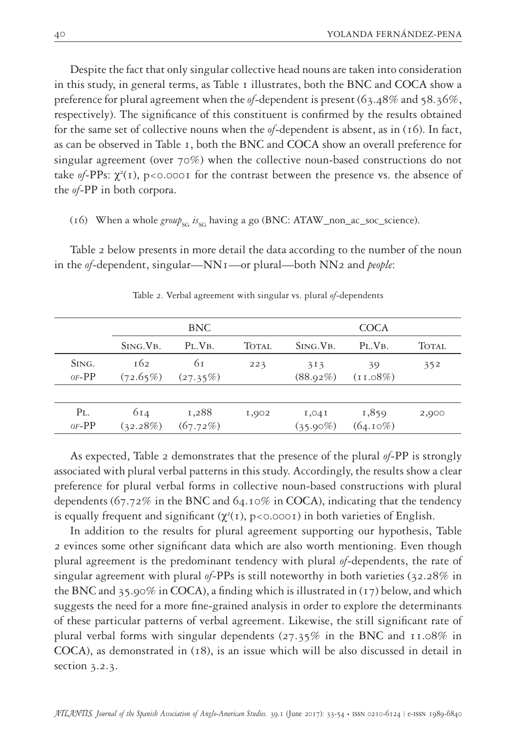Despite the fact that only singular collective head nouns are taken into consideration in this study, in general terms, as Table 1 illustrates, both the BNC and COCA show a preference for plural agreement when the *of*-dependent is present (63.48% and 58.36%, respectively). The significance of this constituent is confirmed by the results obtained for the same set of collective nouns when the *of*-dependent is absent, as in (16). In fact, as can be observed in Table 1, both the BNC and COCA show an overall preference for singular agreement (over 70%) when the collective noun-based constructions do not take  $of$ -PPs:  $\chi^2(1)$ ,  $p < 0.0001$  for the contrast between the presence vs. the absence of the *of*-PP in both corpora.

#### (16) When a whole *group*<sub>sG</sub>  $is_{SG}$  having a go (BNC: ATAW\_non\_ac\_soc\_science).

Table 2 below presents in more detail the data according to the number of the noun in the *of*-dependent, singular—NN1—or plural—both NN2 and *people*:

|                    | <b>BNC</b>      |                         |              | <b>COCA</b>          |                       |       |
|--------------------|-----------------|-------------------------|--------------|----------------------|-----------------------|-------|
|                    | SING. VB.       | $PL$ , V <sub>B</sub> . | <b>TOTAL</b> | SING. VB.            | $PL$ , V <sub>B</sub> | TOTAL |
| SING.<br>$OF-PP$   | 162<br>(72.65%) | 61<br>(27.35%)          | 223          | 313<br>$(88.92\%)$   | 39<br>$(11.08\%)$     | 352   |
|                    |                 |                         |              |                      |                       |       |
| $P_{L}$<br>$OF-PP$ | 614<br>(32.28%) | 1,288<br>(67.72%)       | 1,902        | 1,041<br>$(35.90\%)$ | 1,859<br>$(64.10\%)$  | 2,900 |

Table 2. Verbal agreement with singular vs. plural *of*-dependents

As expected, Table 2 demonstrates that the presence of the plural *of*-PP is strongly associated with plural verbal patterns in this study. Accordingly, the results show a clear preference for plural verbal forms in collective noun-based constructions with plural dependents (67.72% in the BNC and 64.10% in COCA), indicating that the tendency is equally frequent and significant  $(\chi^2(1), p<0.0001)$  in both varieties of English.

In addition to the results for plural agreement supporting our hypothesis, Table 2 evinces some other significant data which are also worth mentioning. Even though plural agreement is the predominant tendency with plural *of*-dependents, the rate of singular agreement with plural *of*-PPs is still noteworthy in both varieties (32.28% in the BNC and 35.90% in COCA), a finding which is illustrated in  $(17)$  below, and which suggests the need for a more fine-grained analysis in order to explore the determinants of these particular patterns of verbal agreement. Likewise, the still significant rate of plural verbal forms with singular dependents (27.35% in the BNC and 11.08% in COCA), as demonstrated in (18), is an issue which will be also discussed in detail in section 3.2.3.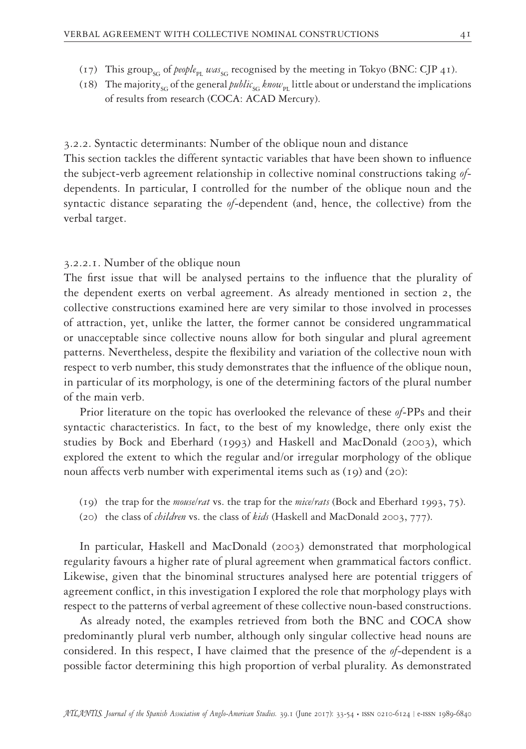- (17) This group<sub>sG</sub> of *people*<sub>PL</sub>  $was_{SG}$  recognised by the meeting in Tokyo (BNC: CJP 41).
- (18) The majority<sub>SG</sub> of the general *public<sub>sG</sub> know*<sub>PI</sub> little about or understand the implications of results from research (COCA: ACAD Mercury).

3.2.2. Syntactic determinants: Number of the oblique noun and distance This section tackles the different syntactic variables that have been shown to influence the subject-verb agreement relationship in collective nominal constructions taking *of*dependents. In particular, I controlled for the number of the oblique noun and the syntactic distance separating the *of*-dependent (and, hence, the collective) from the verbal target.

#### 3.2.2.1. Number of the oblique noun

The first issue that will be analysed pertains to the influence that the plurality of the dependent exerts on verbal agreement. As already mentioned in section 2, the collective constructions examined here are very similar to those involved in processes of attraction, yet, unlike the latter, the former cannot be considered ungrammatical or unacceptable since collective nouns allow for both singular and plural agreement patterns. Nevertheless, despite the flexibility and variation of the collective noun with respect to verb number, this study demonstrates that the influence of the oblique noun, in particular of its morphology, is one of the determining factors of the plural number of the main verb.

Prior literature on the topic has overlooked the relevance of these *of*-PPs and their syntactic characteristics. In fact, to the best of my knowledge, there only exist the studies by Bock and Eberhard (1993) and Haskell and MacDonald (2003), which explored the extent to which the regular and/or irregular morphology of the oblique noun affects verb number with experimental items such as (19) and (20):

- (19) the trap for the *mouse/rat* vs. the trap for the *mice/rats* (Bock and Eberhard 1993, 75).
- (20) the class of *children* vs. the class of *kids* (Haskell and MacDonald 2003, 777).

In particular, Haskell and MacDonald (2003) demonstrated that morphological regularity favours a higher rate of plural agreement when grammatical factors conflict. Likewise, given that the binominal structures analysed here are potential triggers of agreement conflict, in this investigation I explored the role that morphology plays with respect to the patterns of verbal agreement of these collective noun-based constructions.

As already noted, the examples retrieved from both the BNC and COCA show predominantly plural verb number, although only singular collective head nouns are considered. In this respect, I have claimed that the presence of the *of*-dependent is a possible factor determining this high proportion of verbal plurality. As demonstrated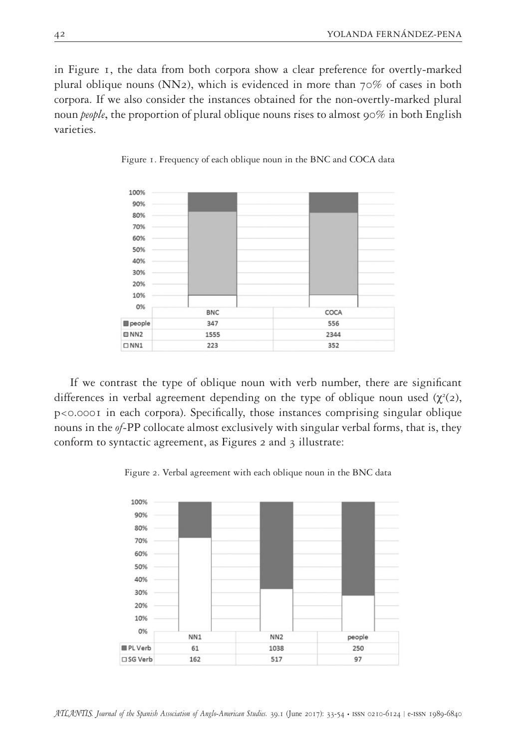in Figure 1, the data from both corpora show a clear preference for overtly-marked plural oblique nouns ( $NN<sub>2</sub>$ ), which is evidenced in more than 70% of cases in both corpora. If we also consider the instances obtained for the non-overtly-marked plural noun *people*, the proportion of plural oblique nouns rises to almost 90% in both English varieties.



Figure 1. Frequency of each oblique noun in the BNC and COCA data

If we contrast the type of oblique noun with verb number, there are significant differences in verbal agreement depending on the type of oblique noun used  $(\chi^2(2),$ p<0.0001 in each corpora). Specifically, those instances comprising singular oblique nouns in the *of*-PP collocate almost exclusively with singular verbal forms, that is, they conform to syntactic agreement, as Figures 2 and 3 illustrate:

Figure 2. Verbal agreement with each oblique noun in the BNC data

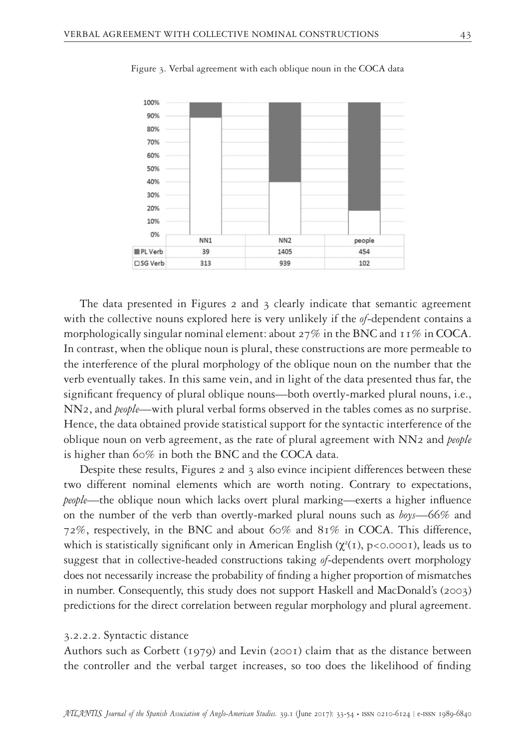

Figure 3. Verbal agreement with each oblique noun in the COCA data

The data presented in Figures 2 and 3 clearly indicate that semantic agreement with the collective nouns explored here is very unlikely if the *of*-dependent contains a morphologically singular nominal element: about  $27\%$  in the BNC and  $11\%$  in COCA. In contrast, when the oblique noun is plural, these constructions are more permeable to the interference of the plural morphology of the oblique noun on the number that the verb eventually takes. In this same vein, and in light of the data presented thus far, the significant frequency of plural oblique nouns—both overtly-marked plural nouns, i.e., NN2, and *people*—with plural verbal forms observed in the tables comes as no surprise. Hence, the data obtained provide statistical support for the syntactic interference of the oblique noun on verb agreement, as the rate of plural agreement with NN2 and *people* is higher than 60% in both the BNC and the COCA data.

Despite these results, Figures 2 and 3 also evince incipient differences between these two different nominal elements which are worth noting. Contrary to expectations, *people*—the oblique noun which lacks overt plural marking—exerts a higher influence on the number of the verb than overtly-marked plural nouns such as *boys*—66% and 72%, respectively, in the BNC and about 60% and 81% in COCA. This difference, which is statistically significant only in American English  $(\chi^2(1), p<0.0001)$ , leads us to suggest that in collective-headed constructions taking *of*-dependents overt morphology does not necessarily increase the probability of finding a higher proportion of mismatches in number. Consequently, this study does not support Haskell and MacDonald's (2003) predictions for the direct correlation between regular morphology and plural agreement.

#### 3.2.2.2. Syntactic distance

Authors such as Corbett (1979) and Levin (2001) claim that as the distance between the controller and the verbal target increases, so too does the likelihood of finding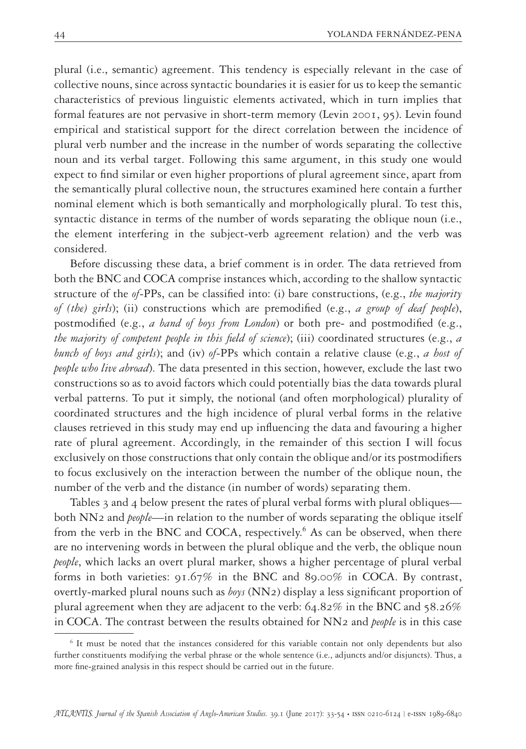plural (i.e., semantic) agreement. This tendency is especially relevant in the case of collective nouns, since across syntactic boundaries it is easier for us to keep the semantic characteristics of previous linguistic elements activated, which in turn implies that formal features are not pervasive in short-term memory (Levin 2001, 95). Levin found empirical and statistical support for the direct correlation between the incidence of plural verb number and the increase in the number of words separating the collective noun and its verbal target. Following this same argument, in this study one would expect to find similar or even higher proportions of plural agreement since, apart from the semantically plural collective noun, the structures examined here contain a further nominal element which is both semantically and morphologically plural. To test this, syntactic distance in terms of the number of words separating the oblique noun (i.e., the element interfering in the subject-verb agreement relation) and the verb was considered.

Before discussing these data, a brief comment is in order. The data retrieved from both the BNC and COCA comprise instances which, according to the shallow syntactic structure of the *of*-PPs, can be classified into: (i) bare constructions, (e.g., *the majority of (the) girls*); (ii) constructions which are premodified (e.g., *a group of deaf people*), postmodified (e.g., *a band of boys from London*) or both pre- and postmodified (e.g., *the majority of competent people in this field of science*); (iii) coordinated structures (e.g., *a bunch of boys and girls*); and (iv) *of*-PPs which contain a relative clause (e.g., *a host of people who live abroad*). The data presented in this section, however, exclude the last two constructions so as to avoid factors which could potentially bias the data towards plural verbal patterns. To put it simply, the notional (and often morphological) plurality of coordinated structures and the high incidence of plural verbal forms in the relative clauses retrieved in this study may end up influencing the data and favouring a higher rate of plural agreement. Accordingly, in the remainder of this section I will focus exclusively on those constructions that only contain the oblique and/or its postmodifiers to focus exclusively on the interaction between the number of the oblique noun, the number of the verb and the distance (in number of words) separating them.

Tables 3 and 4 below present the rates of plural verbal forms with plural obliques both NN2 and *people*—in relation to the number of words separating the oblique itself from the verb in the BNC and COCA, respectively.<sup>6</sup> As can be observed, when there are no intervening words in between the plural oblique and the verb, the oblique noun *people*, which lacks an overt plural marker, shows a higher percentage of plural verbal forms in both varieties: 91.67% in the BNC and 89.00% in COCA. By contrast, overtly-marked plural nouns such as *boys* (NN2) display a less significant proportion of plural agreement when they are adjacent to the verb: 64.82% in the BNC and 58.26% in COCA. The contrast between the results obtained for NN2 and *people* is in this case

<sup>6</sup> It must be noted that the instances considered for this variable contain not only dependents but also further constituents modifying the verbal phrase or the whole sentence (i.e., adjuncts and/or disjuncts). Thus, a more fine-grained analysis in this respect should be carried out in the future.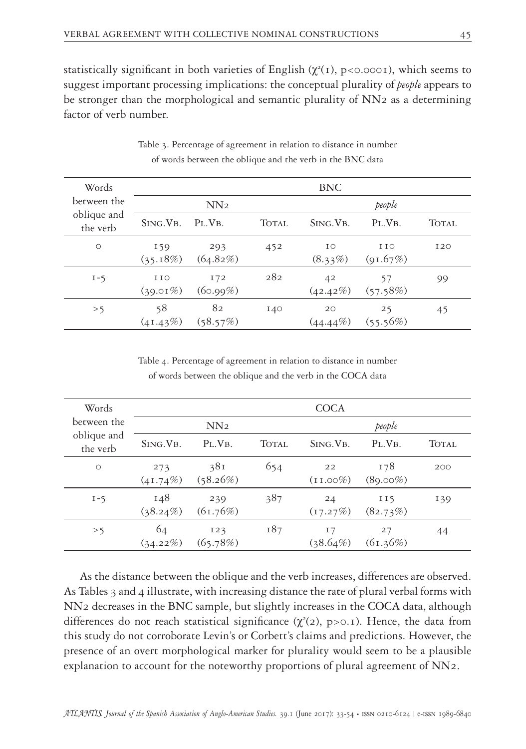statistically significant in both varieties of English ( $\chi^2(1)$ , p<0.0001), which seems to suggest important processing implications: the conceptual plurality of *people* appears to be stronger than the morphological and semantic plurality of NN2 as a determining factor of verb number.

| Words                   | <b>BNC</b>           |                 |       |                   |                 |              |  |  |
|-------------------------|----------------------|-----------------|-------|-------------------|-----------------|--------------|--|--|
| between the             | NN <sub>2</sub>      |                 |       | people            |                 |              |  |  |
| oblique and<br>the verb | SING. VB.            | $PLVB$ .        | TOTAL | SING. VB.         | $PL$ , $VB$ ,   | <b>TOTAL</b> |  |  |
| $\circ$                 | 159<br>(35.18%)      | 293<br>(64.82%) | 452   | IΟ<br>$(8.33\%)$  | 110<br>(91.67%) | 120          |  |  |
| $I - 5$                 | I I O<br>$(39.01\%)$ | 172<br>(60.99%) | 282   | 42<br>(42.42%)    | 57<br>(57.58%)  | 99           |  |  |
| >5                      | 58<br>(41.43%)       | 82<br>(58.57%)  | 140   | 20<br>$(44.44\%)$ | 25<br>(55.56%)  | 45           |  |  |

Table 3. Percentage of agreement in relation to distance in number of words between the oblique and the verb in the BNC data

Table 4. Percentage of agreement in relation to distance in number of words between the oblique and the verb in the COCA data

| Words                   | <b>COCA</b>        |                 |       |                    |                    |       |  |  |
|-------------------------|--------------------|-----------------|-------|--------------------|--------------------|-------|--|--|
| between the             | NN <sub>2</sub>    |                 |       | people             |                    |       |  |  |
| oblique and<br>the verb | SING. VB.          | $PL$ , $VB$ ,   | TOTAL | SING. VB.          | $PL$ , $VB$ ,      | TOTAL |  |  |
| $\circ$                 | 273<br>$(41.74\%)$ | 381<br>(58.26%) | 654   | 22<br>$(11.00\%)$  | 178<br>$(89.00\%)$ | 200   |  |  |
| $I - 5$                 | 148<br>$(38.24\%)$ | 239<br>(61.76%) | 387   | 24<br>(17.27%)     | II5<br>(82.73%)    | 139   |  |  |
| >5                      | 64<br>(34.22%)     | 123<br>(65.78%) | 187   | I 7<br>$(38.64\%)$ | 27<br>(61.36%)     | 44    |  |  |

As the distance between the oblique and the verb increases, differences are observed. As Tables 3 and 4 illustrate, with increasing distance the rate of plural verbal forms with NN2 decreases in the BNC sample, but slightly increases in the COCA data, although differences do not reach statistical significance  $(\chi^2(2), p>0.1)$ . Hence, the data from this study do not corroborate Levin's or Corbett's claims and predictions. However, the presence of an overt morphological marker for plurality would seem to be a plausible explanation to account for the noteworthy proportions of plural agreement of NN2.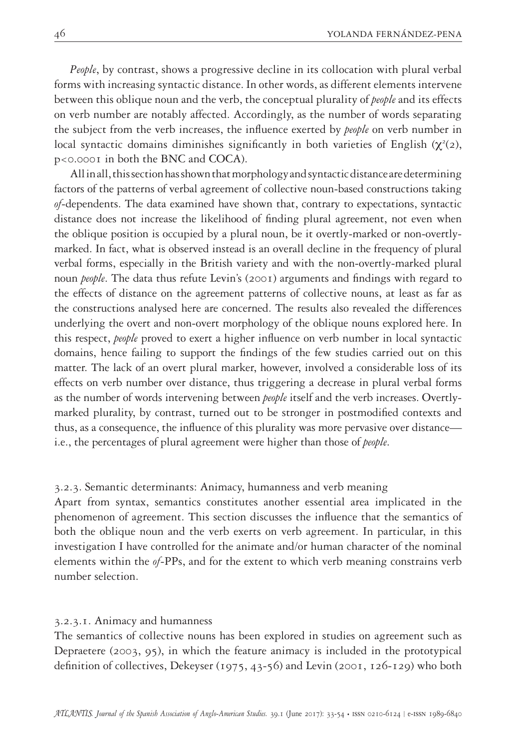*People*, by contrast, shows a progressive decline in its collocation with plural verbal forms with increasing syntactic distance. In other words, as different elements intervene between this oblique noun and the verb, the conceptual plurality of *people* and its effects on verb number are notably affected. Accordingly, as the number of words separating the subject from the verb increases, the influence exerted by *people* on verb number in local syntactic domains diminishes significantly in both varieties of English  $(\chi^2(2),$ p<0.0001 in both the BNC and COCA).

All in all, this section has shown that morphology and syntactic distance are determining factors of the patterns of verbal agreement of collective noun-based constructions taking *of*-dependents. The data examined have shown that, contrary to expectations, syntactic distance does not increase the likelihood of finding plural agreement, not even when the oblique position is occupied by a plural noun, be it overtly-marked or non-overtlymarked. In fact, what is observed instead is an overall decline in the frequency of plural verbal forms, especially in the British variety and with the non-overtly-marked plural noun *people*. The data thus refute Levin's (2001) arguments and findings with regard to the effects of distance on the agreement patterns of collective nouns, at least as far as the constructions analysed here are concerned. The results also revealed the differences underlying the overt and non-overt morphology of the oblique nouns explored here. In this respect, *people* proved to exert a higher influence on verb number in local syntactic domains, hence failing to support the findings of the few studies carried out on this matter. The lack of an overt plural marker, however, involved a considerable loss of its effects on verb number over distance, thus triggering a decrease in plural verbal forms as the number of words intervening between *people* itself and the verb increases. Overtlymarked plurality, by contrast, turned out to be stronger in postmodified contexts and thus, as a consequence, the influence of this plurality was more pervasive over distance i.e., the percentages of plural agreement were higher than those of *people*.

#### 3.2.3. Semantic determinants: Animacy, humanness and verb meaning

Apart from syntax, semantics constitutes another essential area implicated in the phenomenon of agreement. This section discusses the influence that the semantics of both the oblique noun and the verb exerts on verb agreement. In particular, in this investigation I have controlled for the animate and/or human character of the nominal elements within the *of*-PPs, and for the extent to which verb meaning constrains verb number selection.

#### 3.2.3.1. Animacy and humanness

The semantics of collective nouns has been explored in studies on agreement such as Depraetere (2003, 95), in which the feature animacy is included in the prototypical definition of collectives, Dekeyser (1975, 43-56) and Levin (2001, 126-129) who both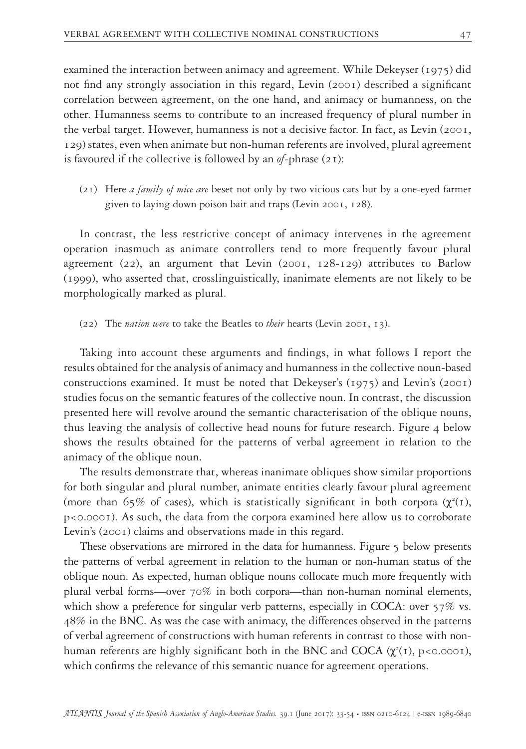examined the interaction between animacy and agreement. While Dekeyser (1975) did not find any strongly association in this regard, Levin (2001) described a significant correlation between agreement, on the one hand, and animacy or humanness, on the other. Humanness seems to contribute to an increased frequency of plural number in the verbal target. However, humanness is not a decisive factor. In fact, as Levin (2001, 129) states, even when animate but non-human referents are involved, plural agreement is favoured if the collective is followed by an *of*-phrase (21):

(21) Here *a family of mice are* beset not only by two vicious cats but by a one-eyed farmer given to laying down poison bait and traps (Levin 2001, 128).

In contrast, the less restrictive concept of animacy intervenes in the agreement operation inasmuch as animate controllers tend to more frequently favour plural agreement (22), an argument that Levin (2001, 128-129) attributes to Barlow (1999), who asserted that, crosslinguistically, inanimate elements are not likely to be morphologically marked as plural.

(22) The *nation were* to take the Beatles to *their* hearts (Levin 2001, 13).

Taking into account these arguments and findings, in what follows I report the results obtained for the analysis of animacy and humanness in the collective noun-based constructions examined. It must be noted that Dekeyser's (1975) and Levin's (2001) studies focus on the semantic features of the collective noun. In contrast, the discussion presented here will revolve around the semantic characterisation of the oblique nouns, thus leaving the analysis of collective head nouns for future research. Figure 4 below shows the results obtained for the patterns of verbal agreement in relation to the animacy of the oblique noun.

The results demonstrate that, whereas inanimate obliques show similar proportions for both singular and plural number, animate entities clearly favour plural agreement (more than 65% of cases), which is statistically significant in both corpora  $(\chi^2(1),$ p<0.0001). As such, the data from the corpora examined here allow us to corroborate Levin's (2001) claims and observations made in this regard.

These observations are mirrored in the data for humanness. Figure 5 below presents the patterns of verbal agreement in relation to the human or non-human status of the oblique noun. As expected, human oblique nouns collocate much more frequently with plural verbal forms—over 70% in both corpora—than non-human nominal elements, which show a preference for singular verb patterns, especially in COCA: over 57% vs. 48% in the BNC. As was the case with animacy, the differences observed in the patterns of verbal agreement of constructions with human referents in contrast to those with nonhuman referents are highly significant both in the BNC and COCA  $(\chi^2(1), p<0.0001)$ , which confirms the relevance of this semantic nuance for agreement operations.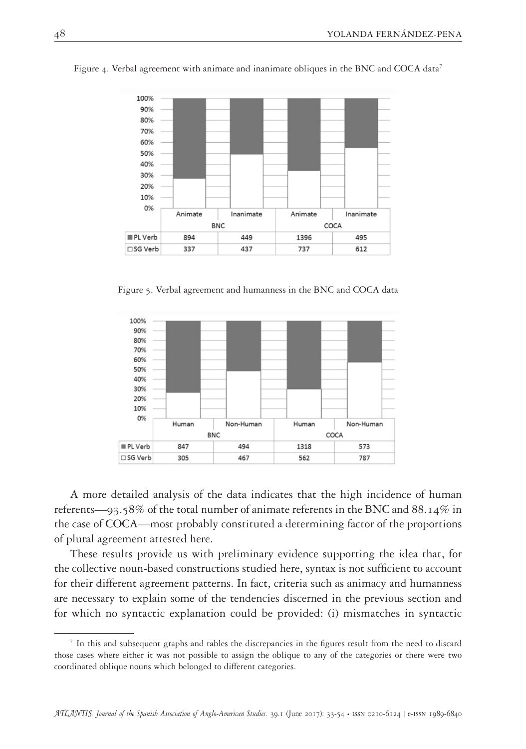

Figure 4. Verbal agreement with animate and inanimate obliques in the BNC and COCA data<sup>7</sup>

Figure 5. Verbal agreement and humanness in the BNC and COCA data



A more detailed analysis of the data indicates that the high incidence of human referents—93.58% of the total number of animate referents in the BNC and 88.14% in the case of COCA—most probably constituted a determining factor of the proportions of plural agreement attested here.

These results provide us with preliminary evidence supporting the idea that, for the collective noun-based constructions studied here, syntax is not sufficient to account for their different agreement patterns. In fact, criteria such as animacy and humanness are necessary to explain some of the tendencies discerned in the previous section and for which no syntactic explanation could be provided: (i) mismatches in syntactic

 $<sup>7</sup>$  In this and subsequent graphs and tables the discrepancies in the figures result from the need to discard</sup> those cases where either it was not possible to assign the oblique to any of the categories or there were two coordinated oblique nouns which belonged to different categories.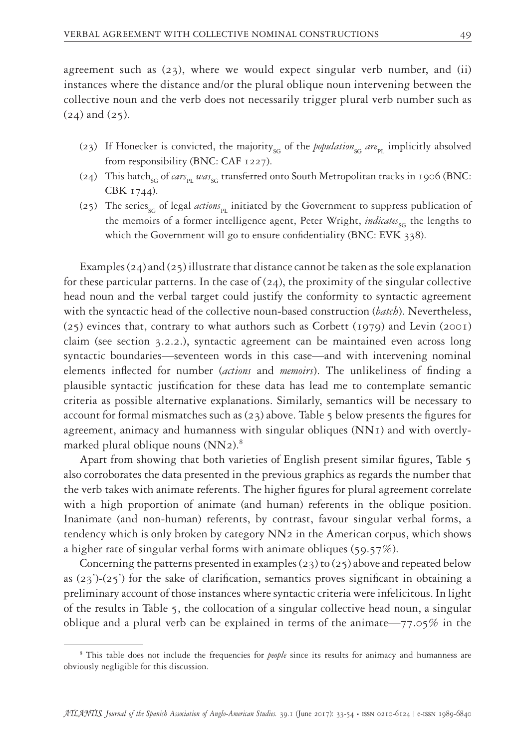agreement such as  $(23)$ , where we would expect singular verb number, and (ii) instances where the distance and/or the plural oblique noun intervening between the collective noun and the verb does not necessarily trigger plural verb number such as (24) and (25).

- (23) If Honecker is convicted, the majority<sub>SG</sub> of the *population<sub>SG</sub> are*<sub>pr</sub> implicitly absolved from responsibility (BNC: CAF 1227).
- (24) This batch<sub>sG</sub> of *cars*<sub>pt</sub> was<sub>sG</sub> transferred onto South Metropolitan tracks in 1906 (BNC: CBK 1744).
- (25) The series<sub>sc</sub> of legal *actions*<sub>pl</sub> initiated by the Government to suppress publication of the memoirs of a former intelligence agent, Peter Wright, *indicates*<sub>sc</sub> the lengths to which the Government will go to ensure confidentiality (BNC: EVK 338).

Examples (24) and (25) illustrate that distance cannot be taken as the sole explanation for these particular patterns. In the case of  $(24)$ , the proximity of the singular collective head noun and the verbal target could justify the conformity to syntactic agreement with the syntactic head of the collective noun-based construction (*batch*). Nevertheless, (25) evinces that, contrary to what authors such as Corbett (1979) and Levin (2001) claim (see section 3.2.2.), syntactic agreement can be maintained even across long syntactic boundaries—seventeen words in this case—and with intervening nominal elements inflected for number (*actions* and *memoirs*). The unlikeliness of finding a plausible syntactic justification for these data has lead me to contemplate semantic criteria as possible alternative explanations. Similarly, semantics will be necessary to account for formal mismatches such as  $(23)$  above. Table 5 below presents the figures for agreement, animacy and humanness with singular obliques (NN1) and with overtlymarked plural oblique nouns (NN2).<sup>8</sup>

Apart from showing that both varieties of English present similar figures, Table 5 also corroborates the data presented in the previous graphics as regards the number that the verb takes with animate referents. The higher figures for plural agreement correlate with a high proportion of animate (and human) referents in the oblique position. Inanimate (and non-human) referents, by contrast, favour singular verbal forms, a tendency which is only broken by category NN2 in the American corpus, which shows a higher rate of singular verbal forms with animate obliques (59.57%).

Concerning the patterns presented in examples ( $23$ ) to ( $25$ ) above and repeated below as  $(23')$ - $(25')$  for the sake of clarification, semantics proves significant in obtaining a preliminary account of those instances where syntactic criteria were infelicitous. In light of the results in Table 5, the collocation of a singular collective head noun, a singular oblique and a plural verb can be explained in terms of the animate—77.05% in the

<sup>&</sup>lt;sup>8</sup> This table does not include the frequencies for *people* since its results for animacy and humanness are obviously negligible for this discussion.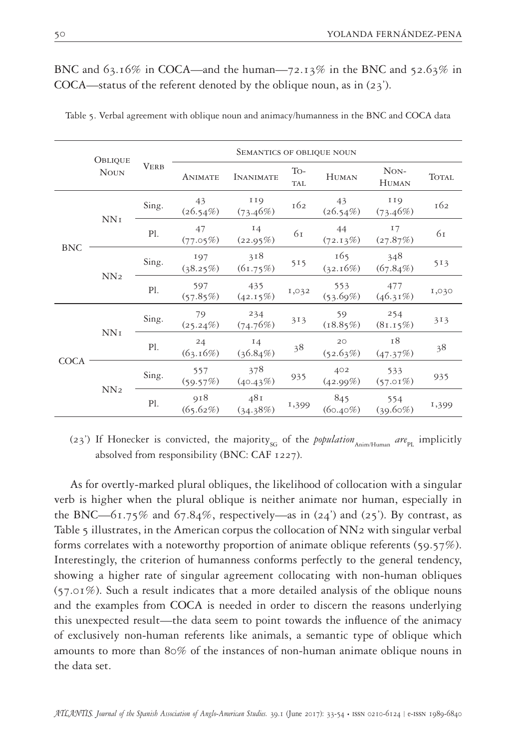|             | OBLIQUE         |       | <b>SEMANTICS OF OBLIQUE NOUN</b> |                        |                   |                    |                      |              |  |
|-------------|-----------------|-------|----------------------------------|------------------------|-------------------|--------------------|----------------------|--------------|--|
|             | <b>NOUN</b>     |       | <b>ANIMATE</b>                   | <b>INANIMATE</b>       | To-<br><b>TAL</b> | <b>HUMAN</b>       | NON-<br><b>HUMAN</b> | <b>TOTAL</b> |  |
| <b>BNC</b>  | NN <sub>I</sub> | Sing. | 43<br>$(26.54\%)$                | <b>119</b><br>(73.46%) | 162               | 43<br>$(26.54\%)$  | II9<br>(73.46%)      | 162          |  |
|             |                 | Pl.   | 47<br>(77.05%)                   | $I_4$<br>(22.95%)      | 61                | 44<br>(72.13%)     | 17<br>(27.87%)       | 61           |  |
|             | NN <sub>2</sub> | Sing. | 197<br>(38.25%)                  | 318<br>(61.75%)        | 515               | 165<br>(32.16%)    | 348<br>$(67.84\%)$   | 513          |  |
|             |                 | Pl.   | 597<br>(57.85%)                  | 435<br>(42.15%)        | 1,032             | 553<br>(53.69%)    | 477<br>$(46.31\%)$   | 1,030        |  |
| <b>COCA</b> | NNI             | Sing. | 79<br>$(25.24\%)$                | 234<br>(74.76%)        | 313               | 59<br>(18.85%)     | 254<br>(81.15%)      | 313          |  |
|             |                 | Pl.   | 24<br>(63.16%)                   | 14<br>$(36.84\%)$      | 38                | 20<br>(52.63%)     | 18<br>(47.37%)       | 38           |  |
|             |                 | Sing. | 557<br>(59.57%)                  | 378<br>(40.43%)        | 935               | 402<br>(42.99%)    | 533<br>$(57.01\%)$   | 935          |  |
|             | NN <sub>2</sub> | Pl.   | 918<br>(65.62%)                  | 481<br>(34.38%)        | 1,399             | 845<br>$(60.40\%)$ | 554<br>$(39.60\%)$   | 1,399        |  |

# BNC and  $63.16\%$  in COCA—and the human—72.13% in the BNC and 52.63% in COCA—status of the referent denoted by the oblique noun, as in (23').

Table 5. Verbal agreement with oblique noun and animacy/humanness in the BNC and COCA data

(23<sup>'</sup>) If Honecker is convicted, the majority<sub>SG</sub> of the *population*  $_{\text{Anim/Humpa}}$  *are*<sub>PL</sub> implicitly absolved from responsibility (BNC: CAF 1227).

As for overtly-marked plural obliques, the likelihood of collocation with a singular verb is higher when the plural oblique is neither animate nor human, especially in the BNC—61.75% and 67.84%, respectively—as in  $(24')$  and  $(25')$ . By contrast, as Table 5 illustrates, in the American corpus the collocation of NN2 with singular verbal forms correlates with a noteworthy proportion of animate oblique referents (59.57%). Interestingly, the criterion of humanness conforms perfectly to the general tendency, showing a higher rate of singular agreement collocating with non-human obliques (57.01%). Such a result indicates that a more detailed analysis of the oblique nouns and the examples from COCA is needed in order to discern the reasons underlying this unexpected result—the data seem to point towards the influence of the animacy of exclusively non-human referents like animals, a semantic type of oblique which amounts to more than 80% of the instances of non-human animate oblique nouns in the data set.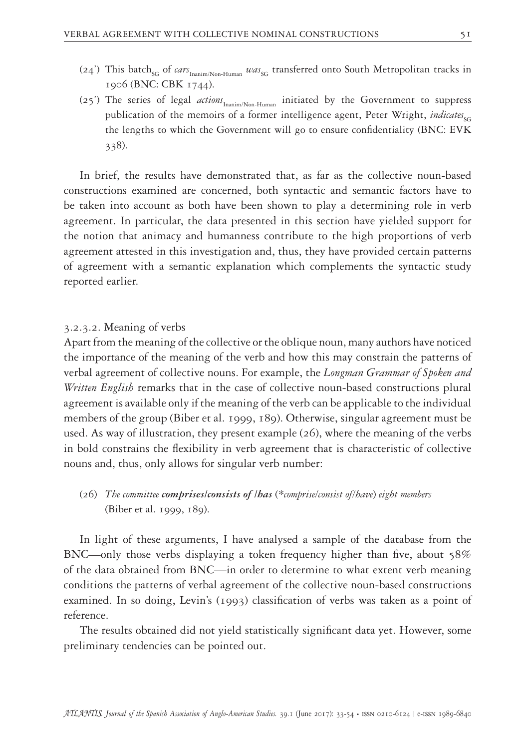- (24<sup>'</sup>) This batch<sub>SG</sub> of *cars*<sub>Inanim/Non-Human</sub> was<sub>SG</sub> transferred onto South Metropolitan tracks in 1906 (BNC: CBK 1744).
- (25<sup>'</sup>) The series of legal *actions*<sub>Inanim/Non-Human initiated by the Government to suppress</sub> publication of the memoirs of a former intelligence agent, Peter Wright, *indicates*<sub>SG</sub> the lengths to which the Government will go to ensure confidentiality (BNC: EVK 338).

In brief, the results have demonstrated that, as far as the collective noun-based constructions examined are concerned, both syntactic and semantic factors have to be taken into account as both have been shown to play a determining role in verb agreement. In particular, the data presented in this section have yielded support for the notion that animacy and humanness contribute to the high proportions of verb agreement attested in this investigation and, thus, they have provided certain patterns of agreement with a semantic explanation which complements the syntactic study reported earlier.

## 3.2.3.2. Meaning of verbs

Apart from the meaning of the collective or the oblique noun, many authors have noticed the importance of the meaning of the verb and how this may constrain the patterns of verbal agreement of collective nouns. For example, the *Longman Grammar of Spoken and Written English* remarks that in the case of collective noun-based constructions plural agreement is available only if the meaning of the verb can be applicable to the individual members of the group (Biber et al. 1999, 189). Otherwise, singular agreement must be used. As way of illustration, they present example (26), where the meaning of the verbs in bold constrains the flexibility in verb agreement that is characteristic of collective nouns and, thus, only allows for singular verb number:

(26) *The committee comprises/consists of /has* (*\*comprise/consist of/have*) *eight members*  (Biber et al. 1999, 189).

In light of these arguments, I have analysed a sample of the database from the BNC—only those verbs displaying a token frequency higher than five, about 58% of the data obtained from BNC—in order to determine to what extent verb meaning conditions the patterns of verbal agreement of the collective noun-based constructions examined. In so doing, Levin's (1993) classification of verbs was taken as a point of reference.

The results obtained did not yield statistically significant data yet. However, some preliminary tendencies can be pointed out.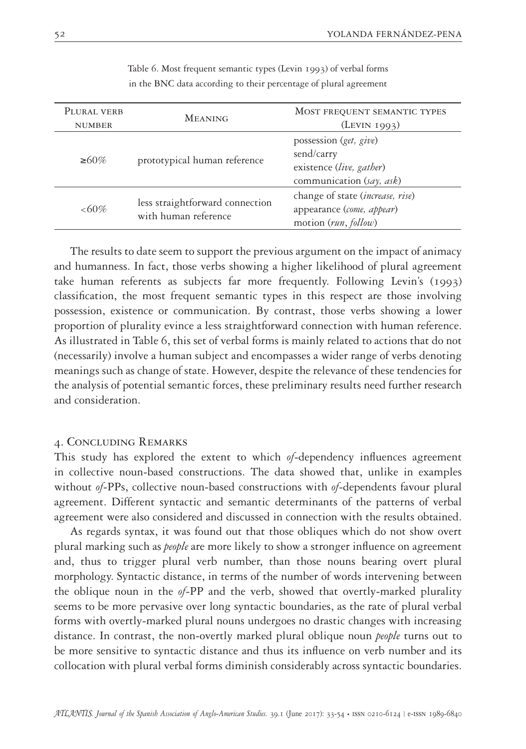| PLURAL VERB<br><b>NUMBER</b> | <b>MEANING</b>                                          | MOST FREQUENT SEMANTIC TYPES<br>$($ LEVIN 1993 $)$                                                     |
|------------------------------|---------------------------------------------------------|--------------------------------------------------------------------------------------------------------|
| $\geq 60\%$                  | prototypical human reference                            | possession (get, give)<br>send/carry<br>existence (live, gather)<br>communication (say, ask)           |
| $<60\%$                      | less straightforward connection<br>with human reference | change of state ( <i>increase</i> , <i>rise</i> )<br>appearance (come, appear)<br>motion (run, follow) |

Table 6. Most frequent semantic types (Levin 1993) of verbal forms in the BNC data according to their percentage of plural agreement

The results to date seem to support the previous argument on the impact of animacy and humanness. In fact, those verbs showing a higher likelihood of plural agreement take human referents as subjects far more frequently. Following Levin's (1993) classification, the most frequent semantic types in this respect are those involving possession, existence or communication. By contrast, those verbs showing a lower proportion of plurality evince a less straightforward connection with human reference. As illustrated in Table 6, this set of verbal forms is mainly related to actions that do not (necessarily) involve a human subject and encompasses a wider range of verbs denoting meanings such as change of state. However, despite the relevance of these tendencies for the analysis of potential semantic forces, these preliminary results need further research and consideration.

## 4. Concluding Remarks

This study has explored the extent to which *of*-dependency influences agreement in collective noun-based constructions. The data showed that, unlike in examples without *of*-PPs, collective noun-based constructions with *of*-dependents favour plural agreement. Different syntactic and semantic determinants of the patterns of verbal agreement were also considered and discussed in connection with the results obtained.

As regards syntax, it was found out that those obliques which do not show overt plural marking such as *people* are more likely to show a stronger influence on agreement and, thus to trigger plural verb number, than those nouns bearing overt plural morphology. Syntactic distance, in terms of the number of words intervening between the oblique noun in the *of*-PP and the verb, showed that overtly-marked plurality seems to be more pervasive over long syntactic boundaries, as the rate of plural verbal forms with overtly-marked plural nouns undergoes no drastic changes with increasing distance. In contrast, the non-overtly marked plural oblique noun *people* turns out to be more sensitive to syntactic distance and thus its influence on verb number and its collocation with plural verbal forms diminish considerably across syntactic boundaries.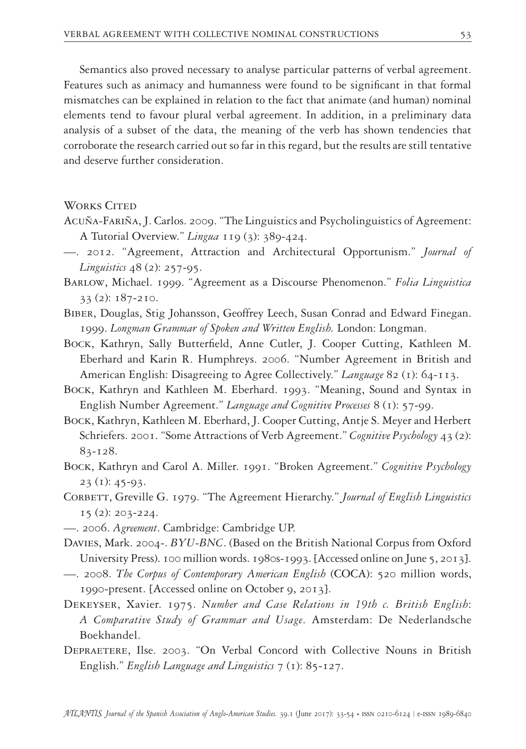Semantics also proved necessary to analyse particular patterns of verbal agreement. Features such as animacy and humanness were found to be significant in that formal mismatches can be explained in relation to the fact that animate (and human) nominal elements tend to favour plural verbal agreement. In addition, in a preliminary data analysis of a subset of the data, the meaning of the verb has shown tendencies that corroborate the research carried out so far in this regard, but the results are still tentative and deserve further consideration.

- WORKS CITED
- Acuña-Fariña, J. Carlos. 2009. "The Linguistics and Psycholinguistics of Agreement: A Tutorial Overview." *Lingua* 119 (3): 389-424.
- —. 2012. "Agreement, Attraction and Architectural Opportunism." *Journal of Linguistics* 48 (2): 257-95.
- Barlow, Michael. 1999. "Agreement as a Discourse Phenomenon." *Folia Linguistica*  33 (2): 187-210.
- Biber, Douglas, Stig Johansson, Geoffrey Leech, Susan Conrad and Edward Finegan. 1999. *Longman Grammar of Spoken and Written English.* London: Longman.
- Bock, Kathryn, Sally Butterfield, Anne Cutler, J. Cooper Cutting, Kathleen M. Eberhard and Karin R. Humphreys. 2006. "Number Agreement in British and American English: Disagreeing to Agree Collectively." *Language* 82 (1): 64-113.
- Bock, Kathryn and Kathleen M. Eberhard. 1993. "Meaning, Sound and Syntax in English Number Agreement." *Language and Cognitive Processes* 8 (1): 57-99.
- Bock, Kathryn, Kathleen M. Eberhard, J. Cooper Cutting, Antje S. Meyer and Herbert Schriefers. 2001. "Some Attractions of Verb Agreement." *Cognitive Psychology* 43 (2): 83-128.
- Bock, Kathryn and Carol A. Miller. 1991. "Broken Agreement." *Cognitive Psychology*  $23$  (1): 45-93.
- Corbett, Greville G. 1979. "The Agreement Hierarchy." *Journal of English Linguistics* 15 (2): 203-224.
- —. 2006. *Agreement*. Cambridge: Cambridge UP.
- Davies, Mark. 2004-. *BYU-BNC*. (Based on the British National Corpus from Oxford University Press). 100 million words. 1980s-1993. [Accessed online on June 5, 2013].
- —. 2008. *The Corpus of Contemporary American English* (COCA): 520 million words, 1990-present. [Accessed online on October 9, 2013].
- Dekeyser, Xavier. 1975. *Number and Case Relations in 19th c. British English*: *A Comparative Study of Grammar and Usage*. Amsterdam: De Nederlandsche Boekhandel.
- Depraetere, Ilse. 2003. "On Verbal Concord with Collective Nouns in British English." *English Language and Linguistics* 7 (1): 85-127.